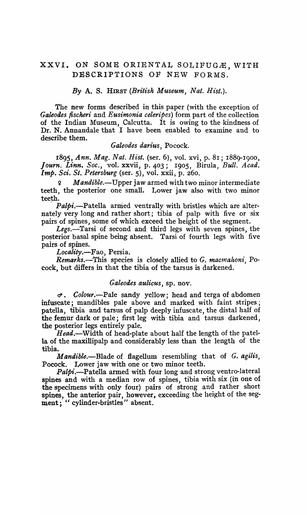# XXVI. ON SOME ORIENTAL SOLIFUGÆ, WITH DESCRIPTIONS OF NEW FORMS.

*By* A. S. HIRST *(British Museum, Nat. Hist.).* 

The new forms described in this paper (with the exception of *Galeoiles fischeri* and *Eusimonia celeripcs)* form part of the collection of the Indian Museum, Calcutta. It is owing to the kindness of Dr. N. Annandale that I have been enabled to examine and to describe them.

#### *Galeodes darius,* Pocock.

*1895, Ann. Mag. Nat. Hist.* (ser. 6), vol. xvi, p. 81; 188g-1900, *Journ. Linn. Soc.,* vol. xxvii, p. 403; 1905, Birula, Bull. *Acad. Imp. Sci. St. Petersburg* (ser. 5), vol. xxii, p. 260.

<sup>~</sup>*Mandible.-Upper* jaw armed with two minor intermediate teeth, the posterior one small. Lower jaw also with two minor teeth.

*. Patpi.-Patella* armed ventrally with bristles which are alternately very long and rather short; tibia of palp with five or six pairs of spines, some of which exceed the height of the segment.

Legs.—Tarsi of second and third legs with seven spines, the posterior basal spine being absent. Tarsi of fourth legs with five pairs of spines.

Locality.-Fao, Persia.

*Remarks.*—This species is closely allied to G. macmahoni, Pocock, but differs in that the tibia of the tarsus is darkened.

## *Galeodes aulicus,* sp. nov.

c:i' • *Colour.'-Pale* sandy yellow; head and terga of abdomen infuscate; mandibles pale above and marked with faint stripes; patella, tibia and tarsus of palp deeply infuscate, the distal half of the femur dark or pale; first leg with tibia and tarsus darkened, the posterior legs entirely pale.

Head.—Width of head-plate about half the length of the patella of the maxillipalp and considerably less than the length of the tibia.

*Mandible.*-Blade of flagellum resembling that of *G. agilis*, Pocock. Lower jaw with one or two minor teeth.

*Palpi.-Patella* armed with four long and strong ventro-Iateral spines and with a median row of spines, tibia with six (in one of the specimens with only four) pairs of strong and rather short spines, the anterior pair, however, exceeding the height of the segment; " cylinder-bristles" absent.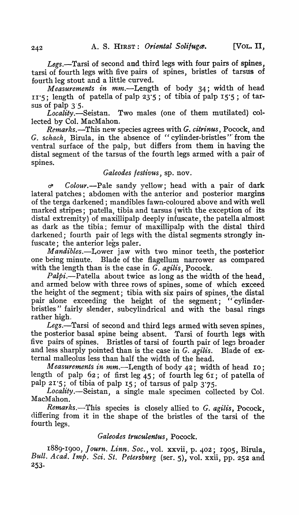Legs.-Tarsi of second and third legs with four pairs of spines. tarsi of fourth legs with five pairs of spines, bristles of tarsus of fourth leg stout and a little curved.

*Measurements in* mm.-Length of body 34; width of head  $11'$ ; length of patella of palp  $23'5$ ; of tibia of palp  $15'5$ ; of tarsus of palp  $3\frac{1}{5}$ .

*Locality.-Seistan.* Two males (one of them mutilated) collected by Col. MacMahon.

*Remarks.-This* new species agrees with *G. citrinus,* Pocock, and G. *schach,* Birula, in the absence of "cylinder-bristles'" from the ventral surface of the palp, but differs from them in having the distal segment of the tarsus of the fourth legs armed with a pair of spines.

# *Galeodes /estivus,* sp. nov.

e/' *Colour.-Pale* sandy yellow; head with a pair of dark lateral patches; abdomen with the anterior and posterior margins of the terga darkened; mandibles fawn-coloured above and with well marked stripes; patella, tibia and tarsus (with the exception of its distal extremity) of maxillipalp deeply infuscate, the patella almost as dark as the tibia; femur of maxillipalp with the distal third darkened; fourth pair of legs with the distal segments strongly infuscate; the anterior legs paler.

*Mandibles.-Lower* jaw with two minor teeth, the postetior one being minute. Blade of the flagellum narrower as compared with the length than is the case in G. *agilis,* Pocock.

*Palpi*.--Patella about twice as long as the width of the head, and armed below with three rows of spines, some of which exceed the height of the segment; tibia with six pairs of spines, the distal pair alone exceeding the height of the segment; "'cylinderbristles" fairly slender, subcylindrical and with the basal rings rather high.

Legs.—Tarsi of second and third legs armed with seven spines, the posterior basal spine being absent. Tarsi of fourth legs with five pairs of spines. Bristles of tarsi of fourth pair of legs broader and less sharply pointed than is the case in *G. agilis.* Blade of external malleolus less than half the width of the head.

*Measurements in mm.*—Length of body 42; width of head 10; length of palp  $62$ ; of first leg  $45$ ; of fourth leg  $61$ ; of patella of palp 21-5; of tibia of palp IS; of tarsus of palp 3'75.

Locality.—Seistan, a single male specimen collected by Col. MacMahon\_

*. Remarks.-This* species is closely allied to *G. agilis,* Pocock, differing from it in the shape of the bristles of the tarsi of the fourth legs.

# *Galeodes truculentus,* Pocock.

I889-I900, *Journ. Linn. Soc.,* vol. xxvii, p. 402; I905, Birula, Bull. Acad. Imp. Sci. St. Petersburg (ser. 5), vol. xxii, pp. 252 and 253·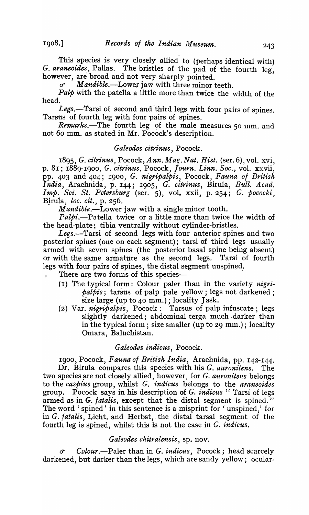This species is very closely allied' to (perhaps identical with) *G. araneoides*, Pallas. The bristles of the pad of the fourth leg, however, are broad and not very sharply pointed.

*d' Mandible.-Lower* jaw with three minor teeth.

*Palp* with the patella a little more than twice the width of the head.

Legs.—Tarsi of second and third legs with four pairs of spines. Tarsus of fourth leg with four pairs of spines.

Remarks.-The fourth leg of the male measures 50 nm. and not 60 mm. as stated in Mr. Pocock's description.

# *Galeodes citrinus,* Pocock.

I895, *G. citrinus,* Pocock, *Ann. Mag. Nat. Hist.* (ser.6), vol. xvi, p. 81; I889-1900, G. *citrinus,* Pocock, *Journ. Linn. Soc.,* vol. xxvii, pp. 403 and 404; 1900, *G. nigripalpis*, Pocock, *Fauna of British India,* Arachnida, p. 144; 1905, *G. c'itrinus,* 'Birula, *Bull. Acad. Imp. Sci. St. Petersburg* (ser. 5), vol. xxii, P.254; G. *pococki,*  Birula, *loc. cit.*, p. 256.

*Mandible.-Lower* jaw with a single minor tooth.

*Palpi.-Patella* twice or a little more than twice the width of the head-plate; tibia ventrally without cylinder-bristles.

Legs.--Tarsi of second legs with four anterior spines and two posterior spines (one on each segment); tarsi of third legs usually armed with seven spines (the posterior basal spine being absent) or with the same armature as the second legs. Tarsi of fourth legs with four pairs of spines, the distal segment unspined.

There are two forms of this species-

- (I) The typical form: Colour paler than in the variety *nigripalpis;* tarsus of palp pale yellow; legs not darkened; size large (up to 40 mm.); locality Jask.
- (2) Var. *nigripalpis,* Pocock: Tarsus of palp infuscate; legs slightly darkened; abdominal terga much darker than in the typical form; size smaller (up to 29 mm.); locality Omara, Baluchistan.

## *Galeodes indicus,* Pocock.

I900, Pocock, *Fauna 01 British India,* Arachnida, pp. 142-144. Dr. Birula compares this species with his *G. auronitens.* The two species are not closely allied, however, for *G. auronitens* belongs to the *caspius* group, whilst *G. indicus* belongs to the *araneoides*  group. Pocock says in his description of *G. indic1.ts* " Tarsi of legs armed as in *G. fatalis*, except that the distal segment is spined." The word' spined' in this sentence is a misprint for' unspined,' for in *G. jatalis,* Licht. and Herbst,- the distal tarsal segment of the fourth leg is spined, whilst this is not the case in G. *indicus.* 

## *Galeodes chitralensis,* sp. nov.

Colour.-Paler than in *G. indicus*, Pocock; head scarcely darkened, but datker than the legs, which are sandy yellow; ocular-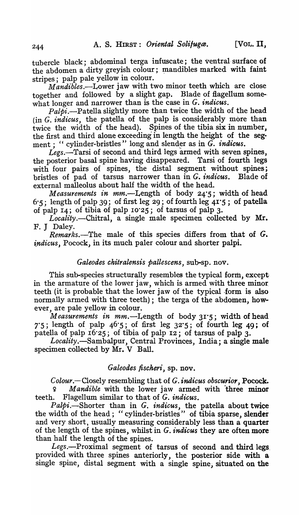tubercle black; abdominal terga infuscate; the ventral-surface of the abdomen a dirty greyish colour; mandibles marked with faint stripes; palp pale yellow in colour.

 $M$ andibles.—Lower jaw with two minor teeth which are close together and followed by a slight gap. Blade of flagellum some- what longer and narrower than is the case in *G. indicus.* 

*Palpi.-Patella* slightly more than twice the width of the head (in *G. indicus,* the patella of the palp is considerably more than twice the width of the head). Spines of the tibia six in number, the first and third alone exceeding in length the height of the segment; "cylinder-bristles" long and slender as in *G. indicus*.

Legs.-Tarsi of second and third legs armed with seven spines, the posterior basal spine having disappeared. Tarsi of fourth legs with four pairs of spines, the distal segment without spines; bristles of pad of tarsus narrower than in *G. indicus.* Blade of external malleolus about half the width of the head.

*Measurements in mm.*—Length of body 24.5; width of head  $6:5$ ; length of palp 39; of first leg 29; of fourth leg  $4I:5$ ; of patella of palp 14; of tibia of palp 10·25; of tarsus of palp 3.

*Localily.-Chitral,* a single male specimen collected by Mr. F. J Daley.

*Remarks.-The* male of this species differs from that of *G. indicus*, Pocock, in its much paler colour and shorter palpi.

# *Galeodes chitralensis pallescens, sub-sp. nov.*

This sub-species structurally resembles the typical form, except in the armature of the lower jaw, which is armed with three minor. teeth (it is probable that the lower jaw of the typical form is also normally armed with three teeth); the terga of the abdomen, however, are pale yellow in colour.

*Measurements in* mm.-Length of body 31.5; width of head 7.5; length of palp  $46.5$ ; of first leg  $32.5$ ; of fourth leg  $49$ ; of patella of palp  $16.25$ ; of tibia of palp 12; of tarsus of palp 3.

*Locality.-Sambalpur,* Central Provinces, India; a single male specimen collected by Mr. V Ball.

# *Galeodes fischeri*, sp. nov.

*Colour.*—Closely resembling that of *G. indicus obscurior*, Pocock. 9 *Mandible* with the lower jaw armed with ·three minor teeth. Flagellum similar to that of *G. indicus.* 

Palpi.-Shorter than in *G. indicus*, the patella about twice the width of the head; "cylinder-bristles" of tibia sparse, slender and very short, usually measuring considerably less than a quarter of the length of the spines, whilst in *G. indicus* they are often more than half the length of the spines.

 $Legs.$ -Proximal segment of tarsus of second and third legs, provided with three spines anteriorly, the posterior side with a single spine, distal segment with a single spine; situated on the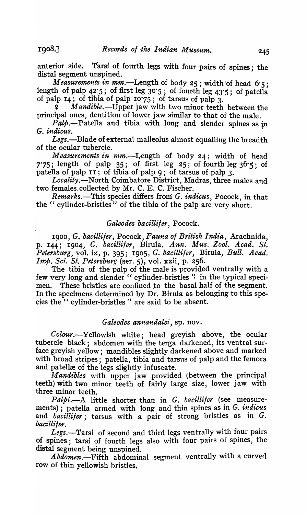anterior side. Tarsi of fourth legs with four pairs of spines; the distal segment unspined.

*Measurements in mm.*—Length of body 25; width of head 6.5; length of palp  $42.5$ ; of first leg  $30.5$ ; of fourth leg  $43.5$ ; of patella of palp I4'; of tlbla of palp 10'75; of tarsus of palp 3.

Mandible.-Upper jaw with two minor teeth between the principal ones, dentition of lower jaw similar to that of the male.

 $Palp$ .--Patella and tibia with long and slender spines as in *G. indicus.* 

*Legs.-Blade* of external malleolus almost equalling the breadth of the ocular tubercle.

*Measurements in* mm.-Length of body 24; width of head 7'75; length of palp 35; of first leg 25; of fourth leg  $36\cdot 5$ ; of patella of palp II; of tibia of palp 9; of tarsus of palp 3.

Locality.—North Coimbatore District, Madras, three males and two females collected by Mr. C. E. C. Fischer.

*Remarks.-This* species differs froni *G. indicus,* Pocock, in that the " cylinder-bristles" of the tibia of the palp are very short.

# *Galeodes bacitliler,* Pocock.

*1900, G. bacilliler,* Pocock, *Fauna of British India,* Arachnida, .p. I44; 19°4, *G. bacilU/er,* Birula, *Ann. Mus. Zool. Acad. St. Petersburg,* yol. ix, p. 395; 1905, *G. bac-illifer,* Birula, *Bull. Acad. Imp. Sci. St. Petersburg* (ser. 5), vol. xxii, p. 256.

The tibia of the palp of the male is provided ventrally with a few very long and slender " cylinder-bristles" in the typical specimen. These bristles are confined to the basal half of the segment. In the specimens determined by Dr. Birula as belonging to this species the " cylinder-bristles" are said to be absent.

#### *Galeodes annandalei,* sp. nov.

*Colour.-Yellowish* white; head greyish above, the ocular tubercle black; abdomen with the terga darkened, its ventral surface greyish yellow; mandibles slightly darkened above and marked with broad stripes; patella, tibia and tarsus of palp and the femora and patellæ of the legs slightly infuscate.

*Mandibles* with upper jaw provided .(between the principal teeth) with two minor teeth of fairly large size, lower jaw with three minor teeth.

*Palpi.-A* little shorter than in *G. bacillifer* (see measurements); patella armed with long and thin spines as in *G. indicus*  and *bacillifer*; tarsus with a pair of strong bristles as in G. *bacilli/er.* 

Legs.-Tarsi of second and third legs ventrally with four pairs of spines; tarsi of fourth legs also with four pairs of spines, the

distal segment being unspined.<br>*Abdomen*.—Fifth abdominal segment ventrally with a curved row of thin yellowish bristles,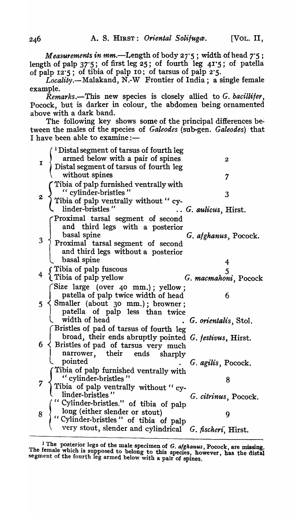*Measurements in mm.*--Length of body 27'5; width of head 7'5; length of palp  $37.5$ ; of first leg  $25$ ; of fourth leg  $41.5$ ; of patella of palp  $12.5$ ; of tibia of palp 10; of tarsus of palp 2.5.

 $Locality$ .--Malakand, N.-W Frontier of India; a single female example.

*Remarks.-This* new species is closely allied to *G. bacillifer,*  Pocock, but is darker in colour, the abdomen being ornamented ahove with a dark band.

The following key shows some of the principal differences between the males of the species of *Galeodes* (sub-gen. *Galeodes*) that I have been able to examine: $-$ 

| Ι. | <sup>1</sup> Distal segment of tarsus of fourth leg<br>armed below with a pair of spines<br>  Distal segment of tarsus of fourth leg<br>without spines                                           | 2<br>7                         |
|----|--------------------------------------------------------------------------------------------------------------------------------------------------------------------------------------------------|--------------------------------|
|    | Tibia of palp furnished ventrally with<br>(cylinder-bristles)<br>Tibia of palp ventrally without "cy-<br>linder-bristles"                                                                        | 3<br>G. aulicus, Hirst.        |
|    | Proximal tarsal segment of second<br>and third legs with a posterior<br>basal spine<br>and third legs without a posterior<br>basal spine                                                         | G. afghanus, Pocock.           |
|    | r Tibia of palp fuscous<br>I Tibia of palp yellow                                                                                                                                                | 4<br>5<br>G. macmahoni, Pocock |
|    | (Size large (over 40 mm.); yellow;<br>patella of palp twice width of head<br>$5 \leq$ Smaller (about 30 mm.); browner;<br>patella of palp less than twice<br>width of head                       | 6<br>G. orientalis, Stol.      |
|    | Bristles of pad of tarsus of fourth leg<br>broad, their ends abruptly pointed G. festivus, Hirst.<br>$6 \nless$ Bristles of pad of tarsus very much<br>  narrower, their ends sharply<br>pointed | G. agilis, Pocock.             |
|    | Tibia of palp furnished ventrally with<br>" cylinder-bristles"<br>Tibia of palp ventrally without " cy-<br>linder-bristles"                                                                      | 8                              |
|    | ("Cylinder-bristles." of tibia of palp<br>long (either slender or stout)<br>"Cylinder-bristles" of tibia of palp<br>very stout, slender and cylindrical G. fischeri, Hirst.                      | G. citrinus, Pocock.           |
|    |                                                                                                                                                                                                  |                                |

<sup>&</sup>lt;sup>1</sup> The posterior legs of the male specimen of G. *alghanus*, Pocock, are missing. The female which is supposed to belong to this species, however, has the distal segment of the fourth leg armed below with a pair of spines.